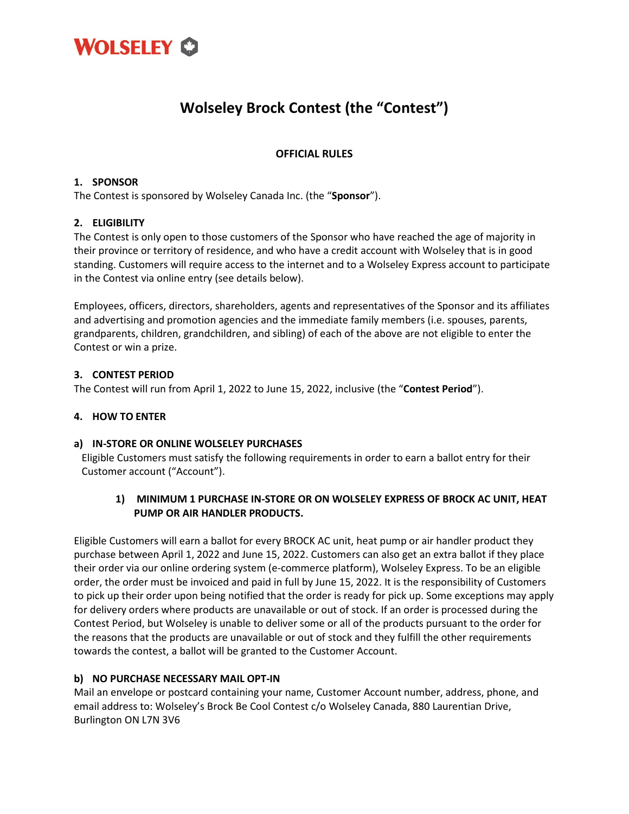

# **Wolseley Brock Contest (the "Contest")**

## **OFFICIAL RULES**

#### **1. SPONSOR**

The Contest is sponsored by Wolseley Canada Inc. (the "**Sponsor**").

#### **2. ELIGIBILITY**

The Contest is only open to those customers of the Sponsor who have reached the age of majority in their province or territory of residence, and who have a credit account with Wolseley that is in good standing. Customers will require access to the internet and to a Wolseley Express account to participate in the Contest via online entry (see details below).

Employees, officers, directors, shareholders, agents and representatives of the Sponsor and its affiliates and advertising and promotion agencies and the immediate family members (i.e. spouses, parents, grandparents, children, grandchildren, and sibling) of each of the above are not eligible to enter the Contest or win a prize.

#### **3. CONTEST PERIOD**

The Contest will run from April 1, 2022 to June 15, 2022, inclusive (the "**Contest Period**").

#### **4. HOW TO ENTER**

#### **a) IN-STORE OR ONLINE WOLSELEY PURCHASES**

Eligible Customers must satisfy the following requirements in order to earn a ballot entry for their Customer account ("Account").

#### **1) MINIMUM 1 PURCHASE IN-STORE OR ON WOLSELEY EXPRESS OF BROCK AC UNIT, HEAT PUMP OR AIR HANDLER PRODUCTS.**

Eligible Customers will earn a ballot for every BROCK AC unit, heat pump or air handler product they purchase between April 1, 2022 and June 15, 2022. Customers can also get an extra ballot if they place their order via our online ordering system (e-commerce platform), Wolseley Express. To be an eligible order, the order must be invoiced and paid in full by June 15, 2022. It is the responsibility of Customers to pick up their order upon being notified that the order is ready for pick up. Some exceptions may apply for delivery orders where products are unavailable or out of stock. If an order is processed during the Contest Period, but Wolseley is unable to deliver some or all of the products pursuant to the order for the reasons that the products are unavailable or out of stock and they fulfill the other requirements towards the contest, a ballot will be granted to the Customer Account.

## **b) NO PURCHASE NECESSARY MAIL OPT-IN**

Mail an envelope or postcard containing your name, Customer Account number, address, phone, and email address to: Wolseley's Brock Be Cool Contest c/o Wolseley Canada, 880 Laurentian Drive, Burlington ON L7N 3V6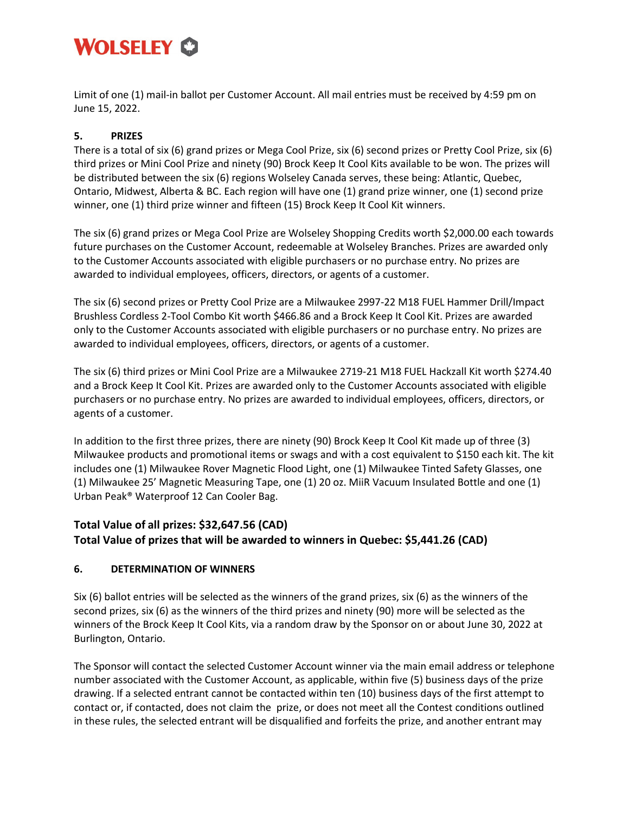# WOLSELEY CO

Limit of one (1) mail-in ballot per Customer Account. All mail entries must be received by 4:59 pm on June 15, 2022.

# **5. PRIZES**

There is a total of six (6) grand prizes or Mega Cool Prize, six (6) second prizes or Pretty Cool Prize, six (6) third prizes or Mini Cool Prize and ninety (90) Brock Keep It Cool Kits available to be won. The prizes will be distributed between the six (6) regions Wolseley Canada serves, these being: Atlantic, Quebec, Ontario, Midwest, Alberta & BC. Each region will have one (1) grand prize winner, one (1) second prize winner, one (1) third prize winner and fifteen (15) Brock Keep It Cool Kit winners.

The six (6) grand prizes or Mega Cool Prize are Wolseley Shopping Credits worth \$2,000.00 each towards future purchases on the Customer Account, redeemable at Wolseley Branches. Prizes are awarded only to the Customer Accounts associated with eligible purchasers or no purchase entry. No prizes are awarded to individual employees, officers, directors, or agents of a customer.

The six (6) second prizes or Pretty Cool Prize are a Milwaukee 2997-22 M18 FUEL Hammer Drill/Impact Brushless Cordless 2-Tool Combo Kit worth \$466.86 and a Brock Keep It Cool Kit. Prizes are awarded only to the Customer Accounts associated with eligible purchasers or no purchase entry. No prizes are awarded to individual employees, officers, directors, or agents of a customer.

The six (6) third prizes or Mini Cool Prize are a Milwaukee 2719-21 M18 FUEL Hackzall Kit worth \$274.40 and a Brock Keep It Cool Kit. Prizes are awarded only to the Customer Accounts associated with eligible purchasers or no purchase entry. No prizes are awarded to individual employees, officers, directors, or agents of a customer.

In addition to the first three prizes, there are ninety (90) Brock Keep It Cool Kit made up of three (3) Milwaukee products and promotional items or swags and with a cost equivalent to \$150 each kit. The kit includes one (1) Milwaukee Rover Magnetic Flood Light, one (1) Milwaukee Tinted Safety Glasses, one (1) Milwaukee 25' Magnetic Measuring Tape, one (1) 20 oz. MiiR Vacuum Insulated Bottle and one (1) Urban Peak® Waterproof 12 Can Cooler Bag.

# **Total Value of all prizes: \$32,647.56 (CAD) Total Value of prizes that will be awarded to winners in Quebec: \$5,441.26 (CAD)**

## **6. DETERMINATION OF WINNERS**

Six (6) ballot entries will be selected as the winners of the grand prizes, six (6) as the winners of the second prizes, six (6) as the winners of the third prizes and ninety (90) more will be selected as the winners of the Brock Keep It Cool Kits, via a random draw by the Sponsor on or about June 30, 2022 at Burlington, Ontario.

The Sponsor will contact the selected Customer Account winner via the main email address or telephone number associated with the Customer Account, as applicable, within five (5) business days of the prize drawing. If a selected entrant cannot be contacted within ten (10) business days of the first attempt to contact or, if contacted, does not claim the prize, or does not meet all the Contest conditions outlined in these rules, the selected entrant will be disqualified and forfeits the prize, and another entrant may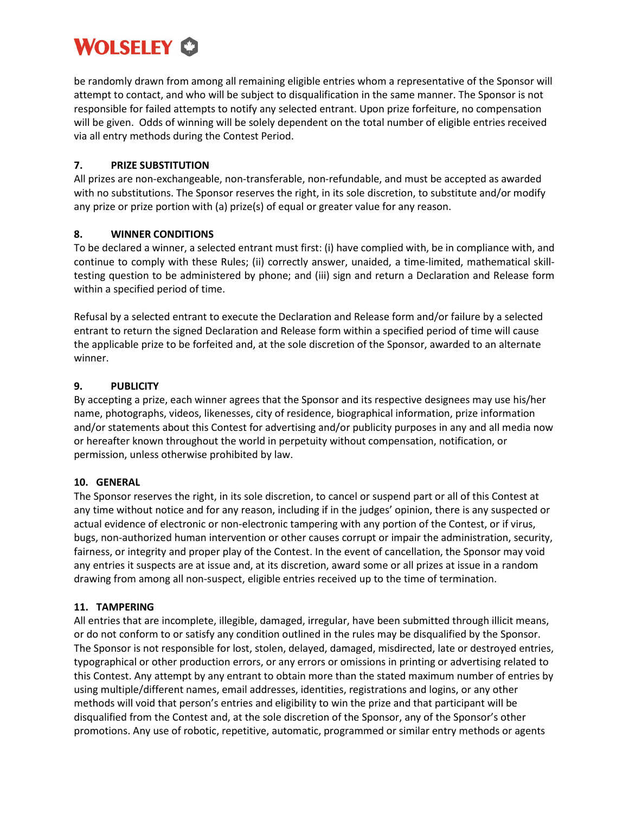# **WOLSELEY CO**

be randomly drawn from among all remaining eligible entries whom a representative of the Sponsor will attempt to contact, and who will be subject to disqualification in the same manner. The Sponsor is not responsible for failed attempts to notify any selected entrant. Upon prize forfeiture, no compensation will be given. Odds of winning will be solely dependent on the total number of eligible entries received via all entry methods during the Contest Period.

#### **7. PRIZE SUBSTITUTION**

All prizes are non-exchangeable, non-transferable, non-refundable, and must be accepted as awarded with no substitutions. The Sponsor reserves the right, in its sole discretion, to substitute and/or modify any prize or prize portion with (a) prize(s) of equal or greater value for any reason.

## **8. WINNER CONDITIONS**

To be declared a winner, a selected entrant must first: (i) have complied with, be in compliance with, and continue to comply with these Rules; (ii) correctly answer, unaided, a time-limited, mathematical skilltesting question to be administered by phone; and (iii) sign and return a Declaration and Release form within a specified period of time.

Refusal by a selected entrant to execute the Declaration and Release form and/or failure by a selected entrant to return the signed Declaration and Release form within a specified period of time will cause the applicable prize to be forfeited and, at the sole discretion of the Sponsor, awarded to an alternate winner.

## **9. PUBLICITY**

By accepting a prize, each winner agrees that the Sponsor and its respective designees may use his/her name, photographs, videos, likenesses, city of residence, biographical information, prize information and/or statements about this Contest for advertising and/or publicity purposes in any and all media now or hereafter known throughout the world in perpetuity without compensation, notification, or permission, unless otherwise prohibited by law.

## **10. GENERAL**

The Sponsor reserves the right, in its sole discretion, to cancel or suspend part or all of this Contest at any time without notice and for any reason, including if in the judges' opinion, there is any suspected or actual evidence of electronic or non-electronic tampering with any portion of the Contest, or if virus, bugs, non-authorized human intervention or other causes corrupt or impair the administration, security, fairness, or integrity and proper play of the Contest. In the event of cancellation, the Sponsor may void any entries it suspects are at issue and, at its discretion, award some or all prizes at issue in a random drawing from among all non-suspect, eligible entries received up to the time of termination.

## **11. TAMPERING**

All entries that are incomplete, illegible, damaged, irregular, have been submitted through illicit means, or do not conform to or satisfy any condition outlined in the rules may be disqualified by the Sponsor. The Sponsor is not responsible for lost, stolen, delayed, damaged, misdirected, late or destroyed entries, typographical or other production errors, or any errors or omissions in printing or advertising related to this Contest. Any attempt by any entrant to obtain more than the stated maximum number of entries by using multiple/different names, email addresses, identities, registrations and logins, or any other methods will void that person's entries and eligibility to win the prize and that participant will be disqualified from the Contest and, at the sole discretion of the Sponsor, any of the Sponsor's other promotions. Any use of robotic, repetitive, automatic, programmed or similar entry methods or agents